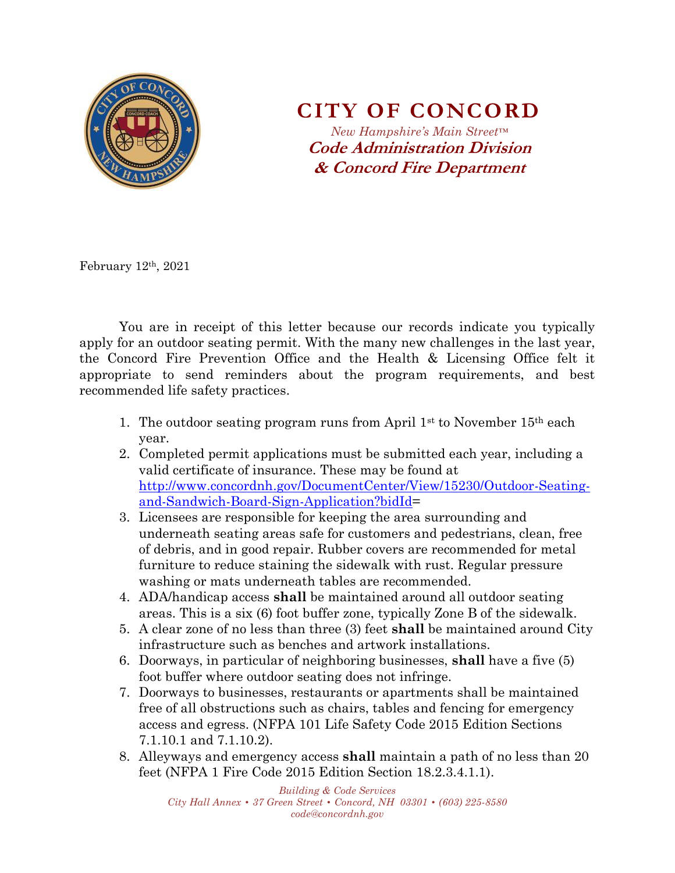

**CITY OF CONCORD**

*New Hampshire's Main Street™* **Code Administration Division & Concord Fire Department**

February 12th, 2021

You are in receipt of this letter because our records indicate you typically apply for an outdoor seating permit. With the many new challenges in the last year, the Concord Fire Prevention Office and the Health & Licensing Office felt it appropriate to send reminders about the program requirements, and best recommended life safety practices.

- 1. The outdoor seating program runs from April  $1<sup>st</sup>$  to November  $15<sup>th</sup>$  each year.
- 2. Completed permit applications must be submitted each year, including a valid certificate of insurance. These may be found at [http://www.concordnh.gov/DocumentCenter/View/15230/Outdoor-Seating](http://www.concordnh.gov/DocumentCenter/View/15230/Outdoor-Seating-and-Sandwich-Board-Sign-Application?bidId)[and-Sandwich-Board-Sign-Application?bidId=](http://www.concordnh.gov/DocumentCenter/View/15230/Outdoor-Seating-and-Sandwich-Board-Sign-Application?bidId)
- 3. Licensees are responsible for keeping the area surrounding and underneath seating areas safe for customers and pedestrians, clean, free of debris, and in good repair. Rubber covers are recommended for metal furniture to reduce staining the sidewalk with rust. Regular pressure washing or mats underneath tables are recommended.
- 4. ADA/handicap access **shall** be maintained around all outdoor seating areas. This is a six (6) foot buffer zone, typically Zone B of the sidewalk.
- 5. A clear zone of no less than three (3) feet **shall** be maintained around City infrastructure such as benches and artwork installations.
- 6. Doorways, in particular of neighboring businesses, **shall** have a five (5) foot buffer where outdoor seating does not infringe.
- 7. Doorways to businesses, restaurants or apartments shall be maintained free of all obstructions such as chairs, tables and fencing for emergency access and egress. (NFPA 101 Life Safety Code 2015 Edition Sections 7.1.10.1 and 7.1.10.2).
- 8. Alleyways and emergency access **shall** maintain a path of no less than 20 feet (NFPA 1 Fire Code 2015 Edition Section 18.2.3.4.1.1).